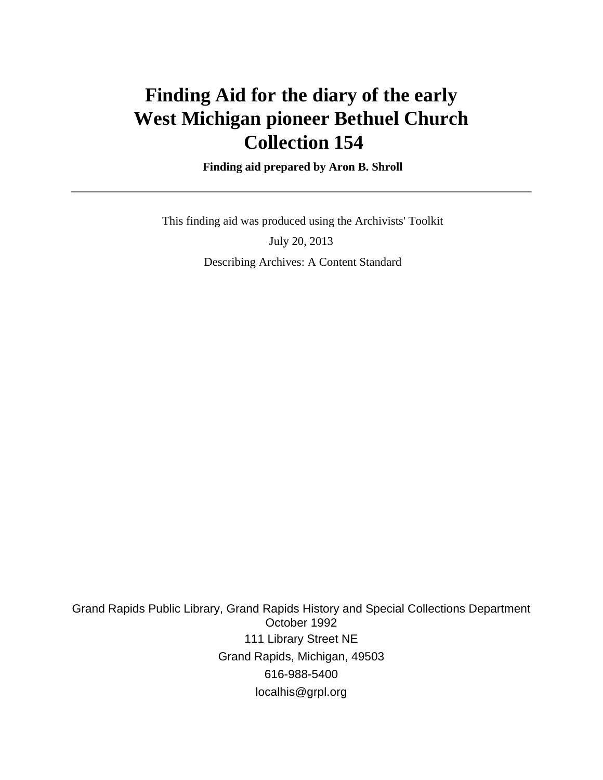# **Finding Aid for the diary of the early West Michigan pioneer Bethuel Church Collection 154**

 **Finding aid prepared by Aron B. Shroll**

 This finding aid was produced using the Archivists' Toolkit July 20, 2013 Describing Archives: A Content Standard

Grand Rapids Public Library, Grand Rapids History and Special Collections Department October 1992 111 Library Street NE Grand Rapids, Michigan, 49503 616-988-5400 localhis@grpl.org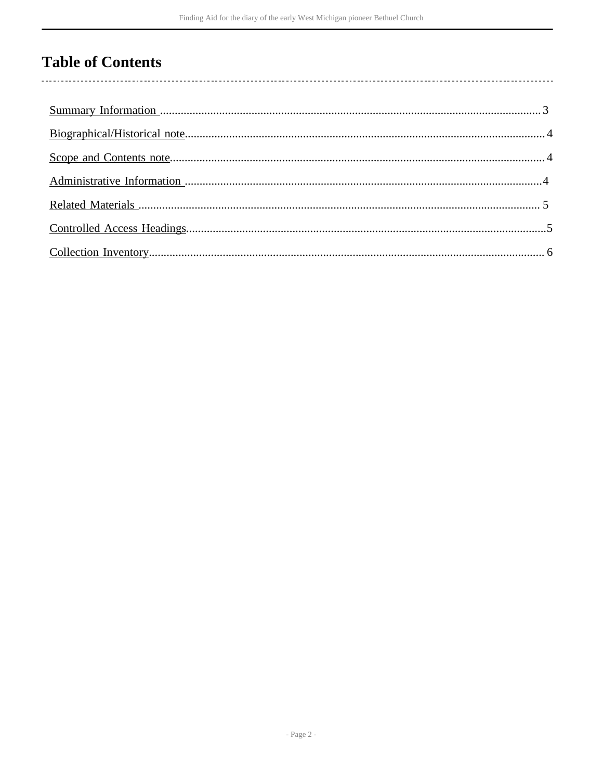# **Table of Contents**

 $\overline{\phantom{a}}$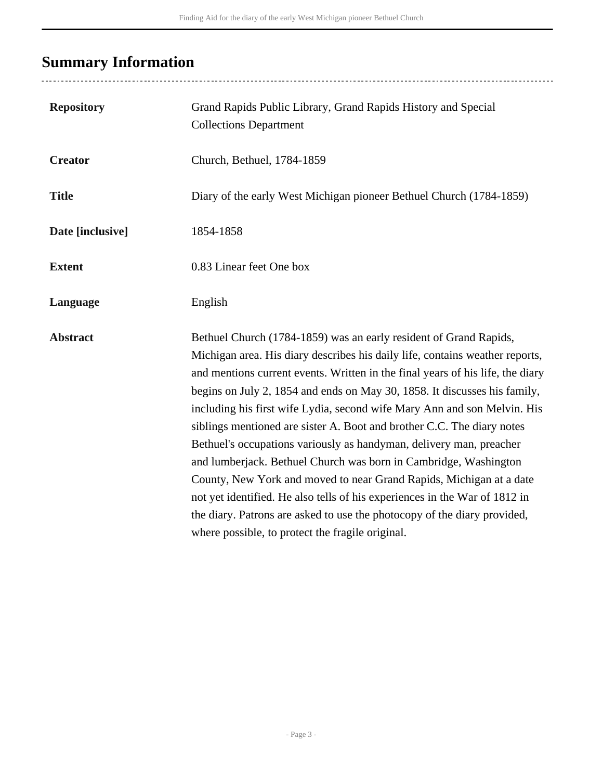# <span id="page-2-0"></span>**Summary Information**

| <b>Repository</b> | Grand Rapids Public Library, Grand Rapids History and Special<br><b>Collections Department</b>                                                                                                                                                                                                                                                                                                                                                                                                                                                                                                                                                                                                                                                                                                                                                                                                         |  |
|-------------------|--------------------------------------------------------------------------------------------------------------------------------------------------------------------------------------------------------------------------------------------------------------------------------------------------------------------------------------------------------------------------------------------------------------------------------------------------------------------------------------------------------------------------------------------------------------------------------------------------------------------------------------------------------------------------------------------------------------------------------------------------------------------------------------------------------------------------------------------------------------------------------------------------------|--|
| <b>Creator</b>    | Church, Bethuel, 1784-1859                                                                                                                                                                                                                                                                                                                                                                                                                                                                                                                                                                                                                                                                                                                                                                                                                                                                             |  |
| <b>Title</b>      | Diary of the early West Michigan pioneer Bethuel Church (1784-1859)                                                                                                                                                                                                                                                                                                                                                                                                                                                                                                                                                                                                                                                                                                                                                                                                                                    |  |
| Date [inclusive]  | 1854-1858                                                                                                                                                                                                                                                                                                                                                                                                                                                                                                                                                                                                                                                                                                                                                                                                                                                                                              |  |
| <b>Extent</b>     | 0.83 Linear feet One box                                                                                                                                                                                                                                                                                                                                                                                                                                                                                                                                                                                                                                                                                                                                                                                                                                                                               |  |
| Language          | English                                                                                                                                                                                                                                                                                                                                                                                                                                                                                                                                                                                                                                                                                                                                                                                                                                                                                                |  |
| <b>Abstract</b>   | Bethuel Church (1784-1859) was an early resident of Grand Rapids,<br>Michigan area. His diary describes his daily life, contains weather reports,<br>and mentions current events. Written in the final years of his life, the diary<br>begins on July 2, 1854 and ends on May 30, 1858. It discusses his family,<br>including his first wife Lydia, second wife Mary Ann and son Melvin. His<br>siblings mentioned are sister A. Boot and brother C.C. The diary notes<br>Bethuel's occupations variously as handyman, delivery man, preacher<br>and lumberjack. Bethuel Church was born in Cambridge, Washington<br>County, New York and moved to near Grand Rapids, Michigan at a date<br>not yet identified. He also tells of his experiences in the War of 1812 in<br>the diary. Patrons are asked to use the photocopy of the diary provided,<br>where possible, to protect the fragile original. |  |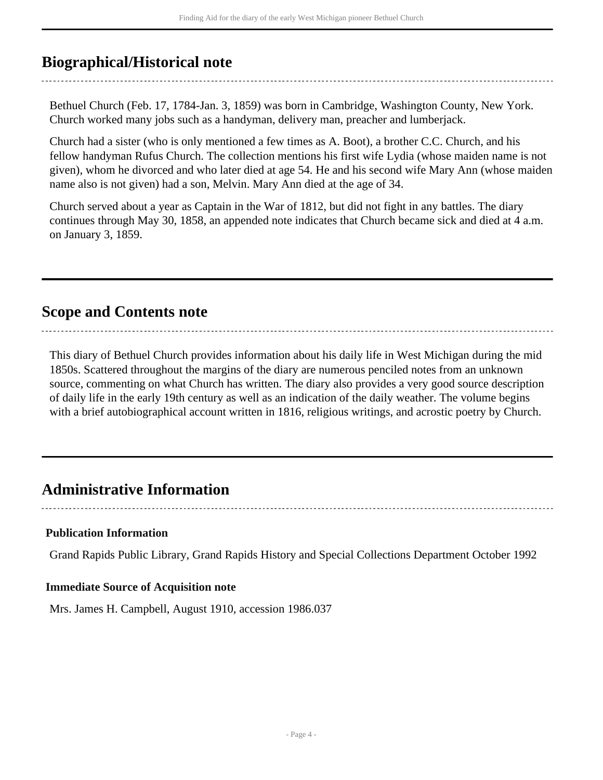### <span id="page-3-0"></span>**Biographical/Historical note**

Bethuel Church (Feb. 17, 1784-Jan. 3, 1859) was born in Cambridge, Washington County, New York. Church worked many jobs such as a handyman, delivery man, preacher and lumberjack.

Church had a sister (who is only mentioned a few times as A. Boot), a brother C.C. Church, and his fellow handyman Rufus Church. The collection mentions his first wife Lydia (whose maiden name is not given), whom he divorced and who later died at age 54. He and his second wife Mary Ann (whose maiden name also is not given) had a son, Melvin. Mary Ann died at the age of 34.

Church served about a year as Captain in the War of 1812, but did not fight in any battles. The diary continues through May 30, 1858, an appended note indicates that Church became sick and died at 4 a.m. on January 3, 1859.

## <span id="page-3-1"></span>**Scope and Contents note**

This diary of Bethuel Church provides information about his daily life in West Michigan during the mid 1850s. Scattered throughout the margins of the diary are numerous penciled notes from an unknown source, commenting on what Church has written. The diary also provides a very good source description of daily life in the early 19th century as well as an indication of the daily weather. The volume begins with a brief autobiographical account written in 1816, religious writings, and acrostic poetry by Church.

## <span id="page-3-2"></span>**Administrative Information**

#### **Publication Information**

Grand Rapids Public Library, Grand Rapids History and Special Collections Department October 1992

#### **Immediate Source of Acquisition note**

Mrs. James H. Campbell, August 1910, accession 1986.037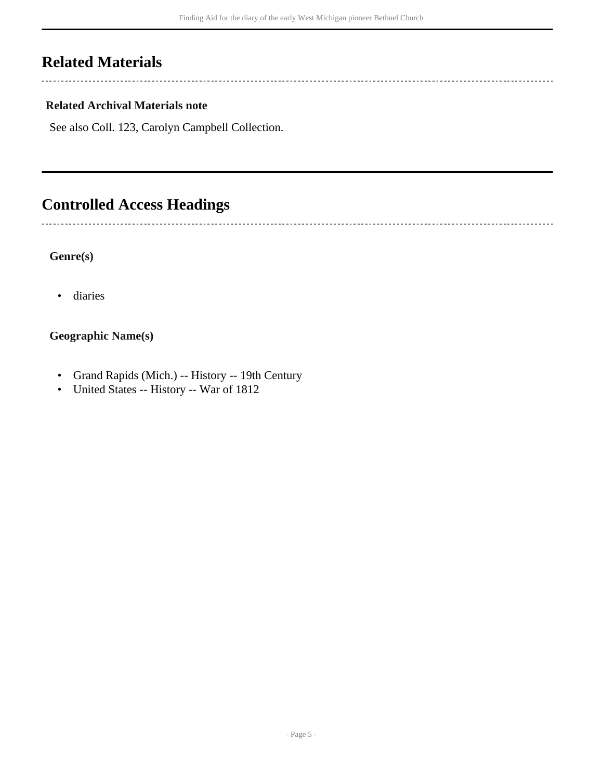## <span id="page-4-0"></span>**Related Materials**

 $\sim$   $\sim$   $\sim$ 

 $\sim$ 

#### **Related Archival Materials note**

See also Coll. 123, Carolyn Campbell Collection.

## <span id="page-4-1"></span>**Controlled Access Headings**

#### **Genre(s)**

• diaries

#### **Geographic Name(s)**

- Grand Rapids (Mich.) -- History -- 19th Century
- United States -- History -- War of 1812